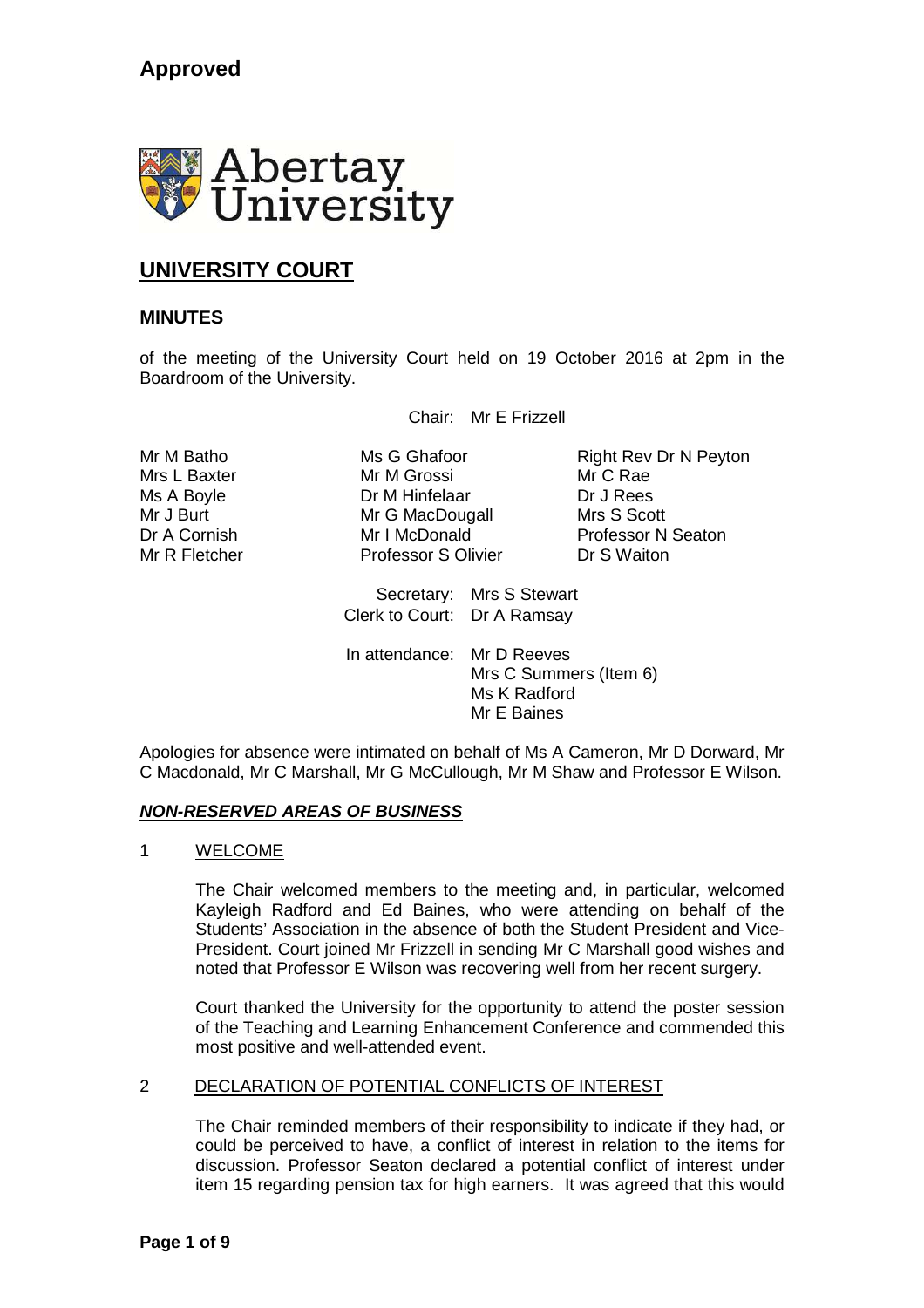

# **UNIVERSITY COURT**

# **MINUTES**

of the meeting of the University Court held on 19 October 2016 at 2pm in the Boardroom of the University.

Chair: Mr E Frizzell

Mrs L Baxter Mr M Grossi Mr C Rae Ms A Boyle **Dr M Hinfelaar** Dr J Rees Mr J Burt Mr G MacDougall Mrs S Scott Mr R Fletcher **Professor S Olivier** Dr S Waiton

Mr M Batho **Ms G Ghafoor** Right Rev Dr N Peyton Dr A Cornish Mr I McDonald Professor N Seaton

> Secretary: Mrs S Stewart Clerk to Court: Dr A Ramsay

In attendance: Mr D Reeves Mrs C Summers (Item 6) Ms K Radford Mr E Baines

Apologies for absence were intimated on behalf of Ms A Cameron, Mr D Dorward, Mr C Macdonald, Mr C Marshall, Mr G McCullough, Mr M Shaw and Professor E Wilson.

# *NON-RESERVED AREAS OF BUSINESS*

# 1 WELCOME

The Chair welcomed members to the meeting and, in particular, welcomed Kayleigh Radford and Ed Baines, who were attending on behalf of the Students' Association in the absence of both the Student President and Vice-President. Court joined Mr Frizzell in sending Mr C Marshall good wishes and noted that Professor E Wilson was recovering well from her recent surgery.

Court thanked the University for the opportunity to attend the poster session of the Teaching and Learning Enhancement Conference and commended this most positive and well-attended event.

# 2 DECLARATION OF POTENTIAL CONFLICTS OF INTEREST

The Chair reminded members of their responsibility to indicate if they had, or could be perceived to have, a conflict of interest in relation to the items for discussion. Professor Seaton declared a potential conflict of interest under item 15 regarding pension tax for high earners. It was agreed that this would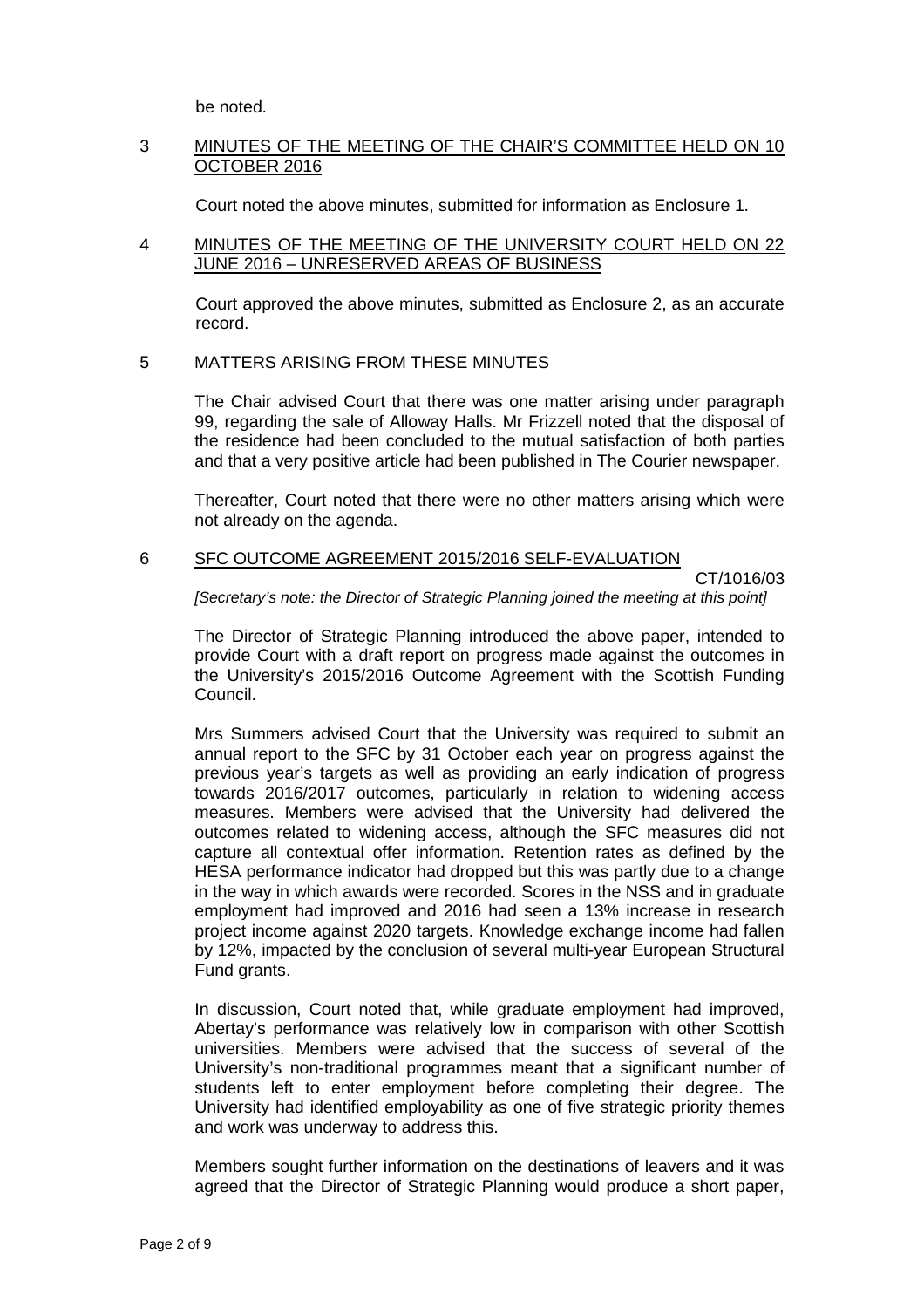be noted.

# 3 MINUTES OF THE MEETING OF THE CHAIR'S COMMITTEE HELD ON 10 OCTOBER 2016

Court noted the above minutes, submitted for information as Enclosure 1.

# 4 MINUTES OF THE MEETING OF THE UNIVERSITY COURT HELD ON 22 JUNE 2016 – UNRESERVED AREAS OF BUSINESS

Court approved the above minutes, submitted as Enclosure 2, as an accurate record.

#### 5 MATTERS ARISING FROM THESE MINUTES

The Chair advised Court that there was one matter arising under paragraph 99, regarding the sale of Alloway Halls. Mr Frizzell noted that the disposal of the residence had been concluded to the mutual satisfaction of both parties and that a very positive article had been published in The Courier newspaper.

Thereafter, Court noted that there were no other matters arising which were not already on the agenda.

# 6 SFC OUTCOME AGREEMENT 2015/2016 SELF-EVALUATION

CT/1016/03

*[Secretary's note: the Director of Strategic Planning joined the meeting at this point]*

The Director of Strategic Planning introduced the above paper, intended to provide Court with a draft report on progress made against the outcomes in the University's 2015/2016 Outcome Agreement with the Scottish Funding Council.

Mrs Summers advised Court that the University was required to submit an annual report to the SFC by 31 October each year on progress against the previous year's targets as well as providing an early indication of progress towards 2016/2017 outcomes, particularly in relation to widening access measures. Members were advised that the University had delivered the outcomes related to widening access, although the SFC measures did not capture all contextual offer information. Retention rates as defined by the HESA performance indicator had dropped but this was partly due to a change in the way in which awards were recorded. Scores in the NSS and in graduate employment had improved and 2016 had seen a 13% increase in research project income against 2020 targets. Knowledge exchange income had fallen by 12%, impacted by the conclusion of several multi-year European Structural Fund grants.

In discussion, Court noted that, while graduate employment had improved, Abertay's performance was relatively low in comparison with other Scottish universities. Members were advised that the success of several of the University's non-traditional programmes meant that a significant number of students left to enter employment before completing their degree. The University had identified employability as one of five strategic priority themes and work was underway to address this.

Members sought further information on the destinations of leavers and it was agreed that the Director of Strategic Planning would produce a short paper,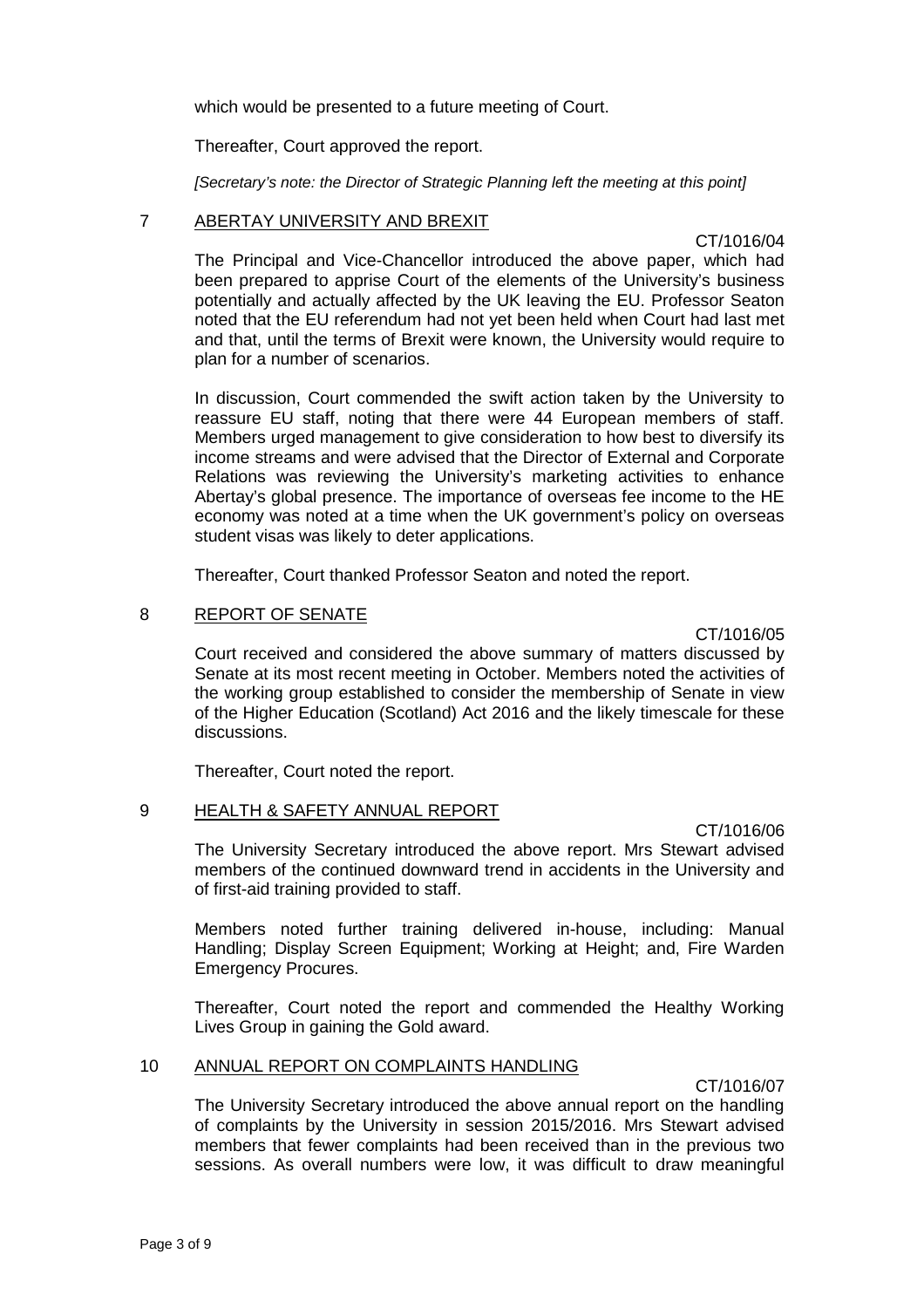which would be presented to a future meeting of Court.

Thereafter, Court approved the report.

*[Secretary's note: the Director of Strategic Planning left the meeting at this point]*

# 7 ABERTAY UNIVERSITY AND BREXIT

CT/1016/04

The Principal and Vice-Chancellor introduced the above paper, which had been prepared to apprise Court of the elements of the University's business potentially and actually affected by the UK leaving the EU. Professor Seaton noted that the EU referendum had not yet been held when Court had last met and that, until the terms of Brexit were known, the University would require to plan for a number of scenarios.

In discussion, Court commended the swift action taken by the University to reassure EU staff, noting that there were 44 European members of staff. Members urged management to give consideration to how best to diversify its income streams and were advised that the Director of External and Corporate Relations was reviewing the University's marketing activities to enhance Abertay's global presence. The importance of overseas fee income to the HE economy was noted at a time when the UK government's policy on overseas student visas was likely to deter applications.

Thereafter, Court thanked Professor Seaton and noted the report.

# 8 REPORT OF SENATE

CT/1016/05

Court received and considered the above summary of matters discussed by Senate at its most recent meeting in October. Members noted the activities of the working group established to consider the membership of Senate in view of the Higher Education (Scotland) Act 2016 and the likely timescale for these discussions.

Thereafter, Court noted the report.

# 9 HEALTH & SAFETY ANNUAL REPORT

CT/1016/06

The University Secretary introduced the above report. Mrs Stewart advised members of the continued downward trend in accidents in the University and of first-aid training provided to staff.

Members noted further training delivered in-house, including: Manual Handling; Display Screen Equipment; Working at Height; and, Fire Warden Emergency Procures.

Thereafter, Court noted the report and commended the Healthy Working Lives Group in gaining the Gold award.

# 10 ANNUAL REPORT ON COMPLAINTS HANDLING

CT/1016/07

The University Secretary introduced the above annual report on the handling of complaints by the University in session 2015/2016. Mrs Stewart advised members that fewer complaints had been received than in the previous two sessions. As overall numbers were low, it was difficult to draw meaningful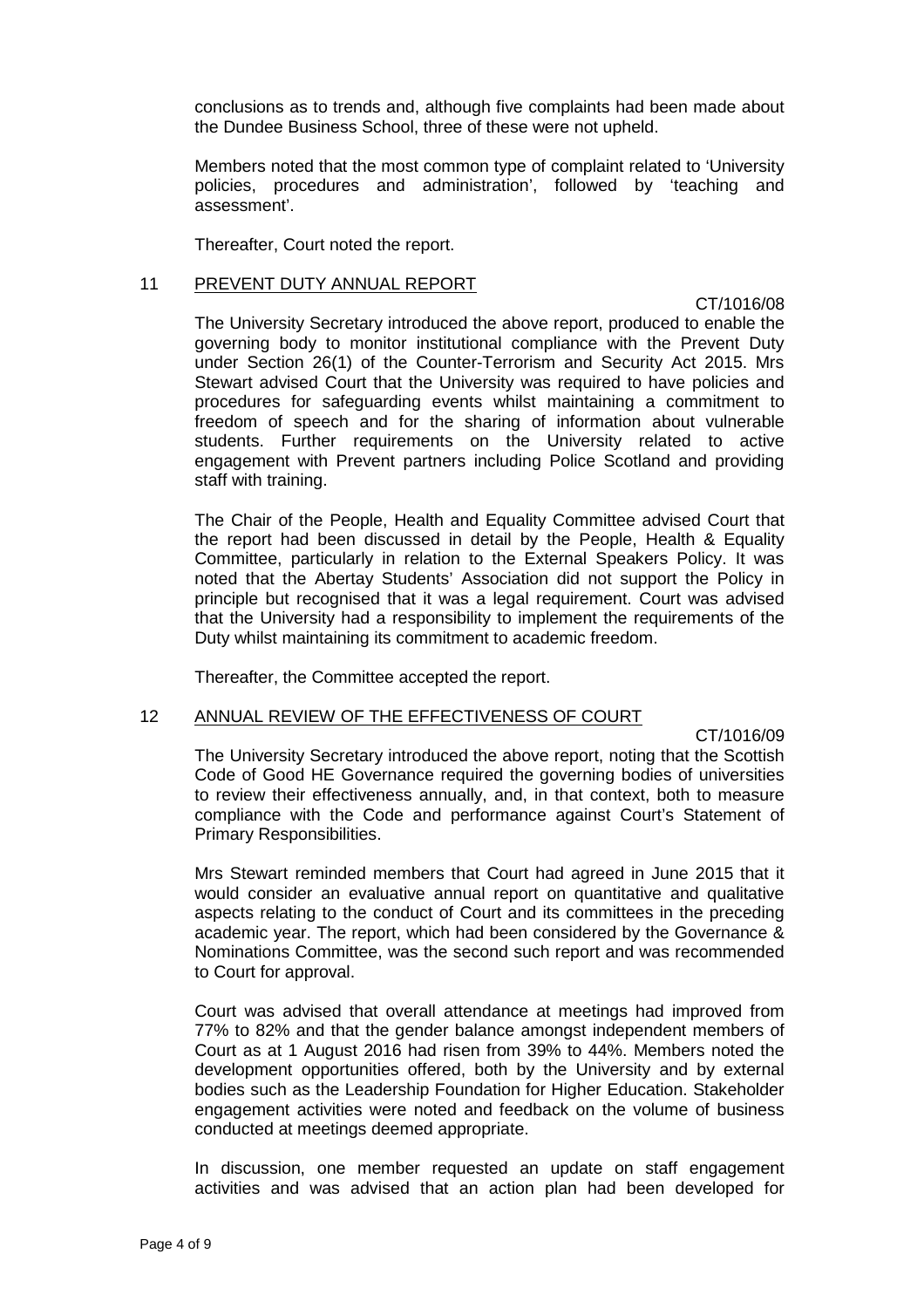conclusions as to trends and, although five complaints had been made about the Dundee Business School, three of these were not upheld.

Members noted that the most common type of complaint related to 'University policies, procedures and administration', followed by 'teaching and assessment'.

Thereafter, Court noted the report.

#### 11 PREVENT DUTY ANNUAL REPORT

CT/1016/08

The University Secretary introduced the above report, produced to enable the governing body to monitor institutional compliance with the Prevent Duty under Section 26(1) of the Counter-Terrorism and Security Act 2015. Mrs Stewart advised Court that the University was required to have policies and procedures for safeguarding events whilst maintaining a commitment to freedom of speech and for the sharing of information about vulnerable students. Further requirements on the University related to active engagement with Prevent partners including Police Scotland and providing staff with training.

The Chair of the People, Health and Equality Committee advised Court that the report had been discussed in detail by the People, Health & Equality Committee, particularly in relation to the External Speakers Policy. It was noted that the Abertay Students' Association did not support the Policy in principle but recognised that it was a legal requirement. Court was advised that the University had a responsibility to implement the requirements of the Duty whilst maintaining its commitment to academic freedom.

Thereafter, the Committee accepted the report.

#### 12 ANNUAL REVIEW OF THE EFFECTIVENESS OF COURT

CT/1016/09

The University Secretary introduced the above report, noting that the Scottish Code of Good HE Governance required the governing bodies of universities to review their effectiveness annually, and, in that context, both to measure compliance with the Code and performance against Court's Statement of Primary Responsibilities.

Mrs Stewart reminded members that Court had agreed in June 2015 that it would consider an evaluative annual report on quantitative and qualitative aspects relating to the conduct of Court and its committees in the preceding academic year. The report, which had been considered by the Governance & Nominations Committee, was the second such report and was recommended to Court for approval.

Court was advised that overall attendance at meetings had improved from 77% to 82% and that the gender balance amongst independent members of Court as at 1 August 2016 had risen from 39% to 44%. Members noted the development opportunities offered, both by the University and by external bodies such as the Leadership Foundation for Higher Education. Stakeholder engagement activities were noted and feedback on the volume of business conducted at meetings deemed appropriate.

In discussion, one member requested an update on staff engagement activities and was advised that an action plan had been developed for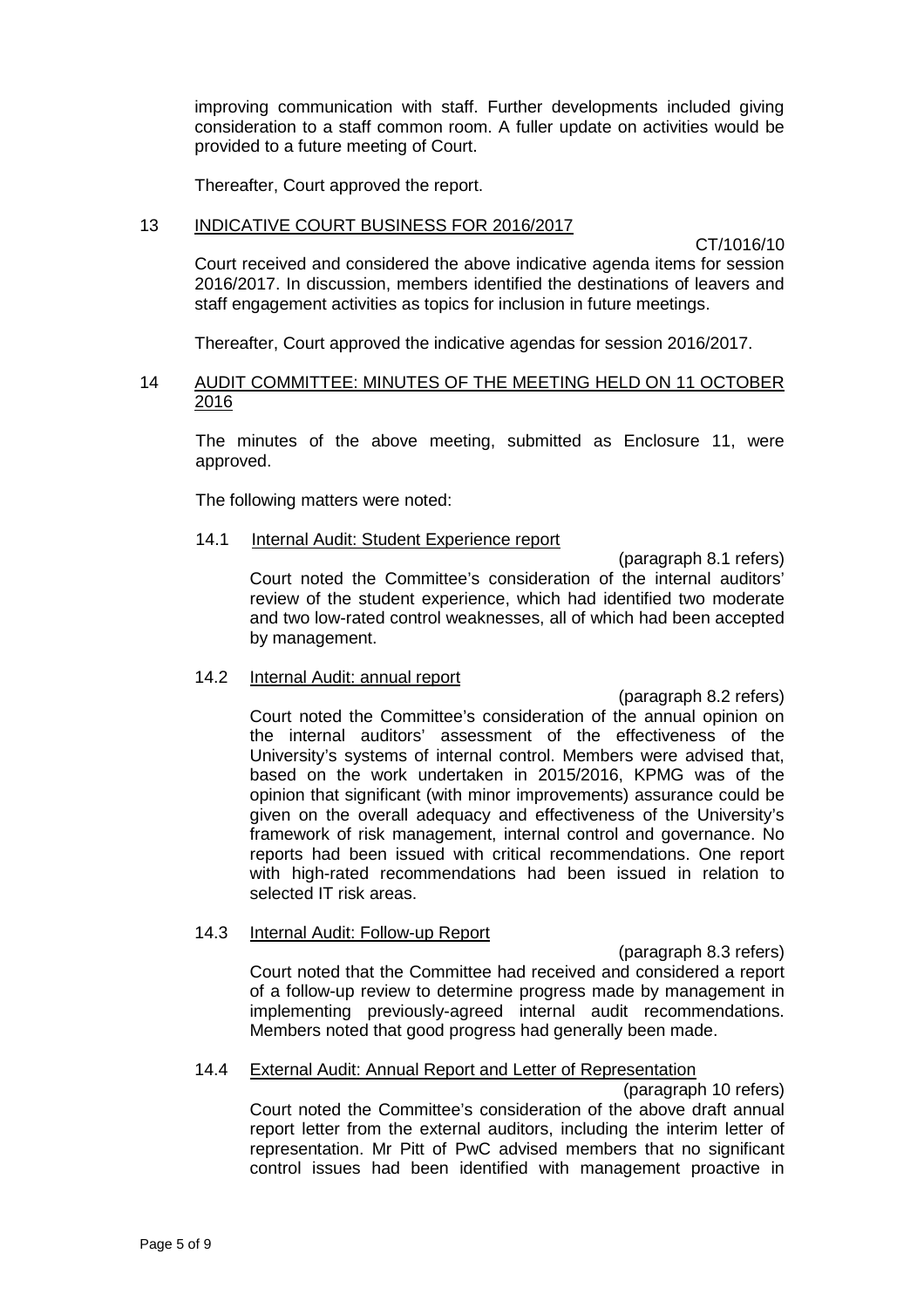improving communication with staff. Further developments included giving consideration to a staff common room. A fuller update on activities would be provided to a future meeting of Court.

Thereafter, Court approved the report.

# 13 INDICATIVE COURT BUSINESS FOR 2016/2017

CT/1016/10

Court received and considered the above indicative agenda items for session 2016/2017. In discussion, members identified the destinations of leavers and staff engagement activities as topics for inclusion in future meetings.

Thereafter, Court approved the indicative agendas for session 2016/2017.

# 14 AUDIT COMMITTEE: MINUTES OF THE MEETING HELD ON 11 OCTOBER 2016

The minutes of the above meeting, submitted as Enclosure 11, were approved.

The following matters were noted:

#### 14.1 Internal Audit: Student Experience report

(paragraph 8.1 refers) Court noted the Committee's consideration of the internal auditors' review of the student experience, which had identified two moderate and two low-rated control weaknesses, all of which had been accepted by management.

#### 14.2 Internal Audit: annual report

(paragraph 8.2 refers) Court noted the Committee's consideration of the annual opinion on the internal auditors' assessment of the effectiveness of the University's systems of internal control. Members were advised that, based on the work undertaken in 2015/2016, KPMG was of the opinion that significant (with minor improvements) assurance could be given on the overall adequacy and effectiveness of the University's framework of risk management, internal control and governance. No reports had been issued with critical recommendations. One report with high-rated recommendations had been issued in relation to selected IT risk areas.

# 14.3 Internal Audit: Follow-up Report

(paragraph 8.3 refers) Court noted that the Committee had received and considered a report of a follow-up review to determine progress made by management in implementing previously-agreed internal audit recommendations. Members noted that good progress had generally been made.

# 14.4 External Audit: Annual Report and Letter of Representation

(paragraph 10 refers) Court noted the Committee's consideration of the above draft annual report letter from the external auditors, including the interim letter of representation. Mr Pitt of PwC advised members that no significant control issues had been identified with management proactive in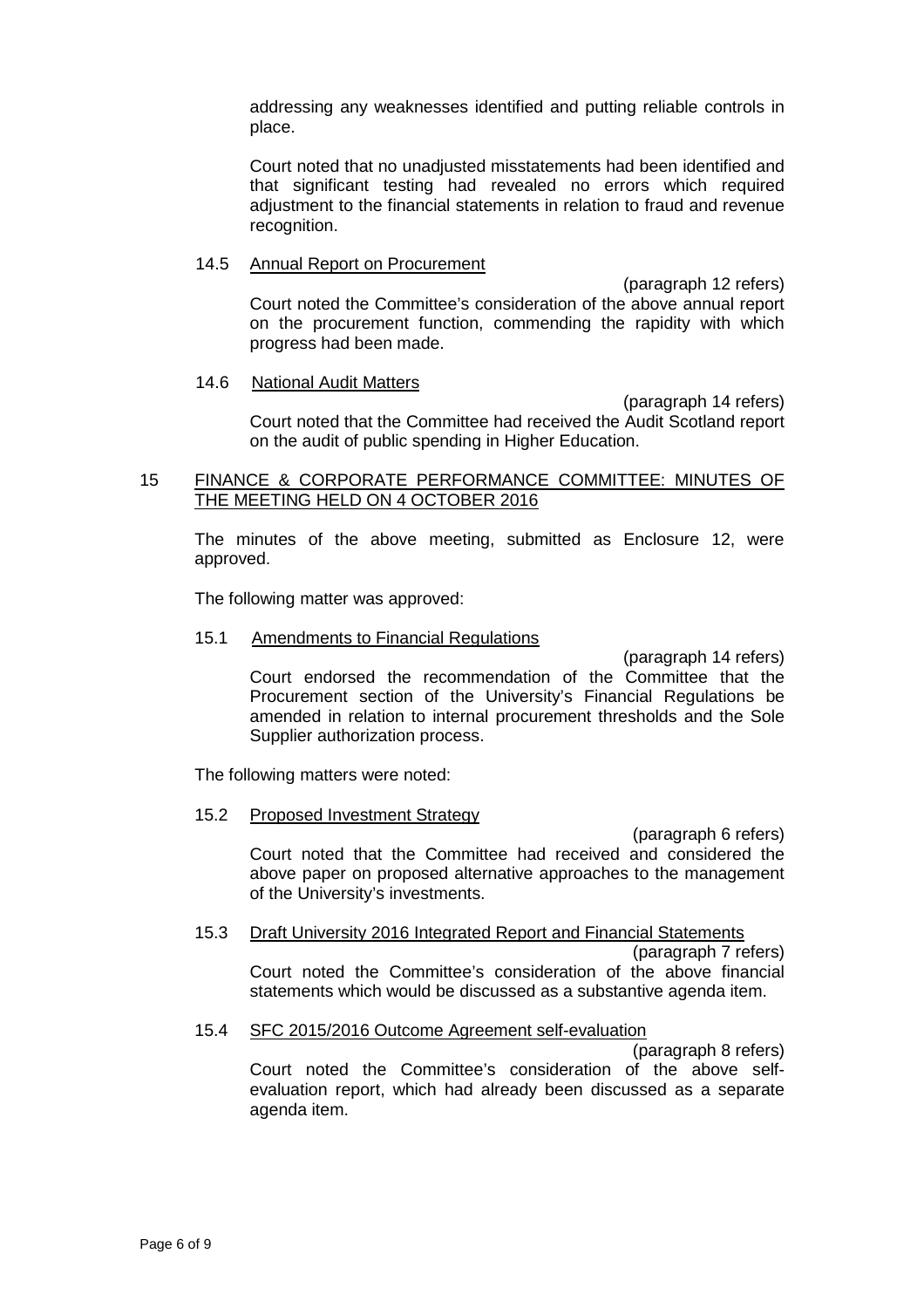addressing any weaknesses identified and putting reliable controls in place.

Court noted that no unadjusted misstatements had been identified and that significant testing had revealed no errors which required adjustment to the financial statements in relation to fraud and revenue recognition.

### 14.5 Annual Report on Procurement

(paragraph 12 refers) Court noted the Committee's consideration of the above annual report on the procurement function, commending the rapidity with which progress had been made.

# 14.6 National Audit Matters

(paragraph 14 refers) Court noted that the Committee had received the Audit Scotland report on the audit of public spending in Higher Education.

# 15 FINANCE & CORPORATE PERFORMANCE COMMITTEE: MINUTES OF THE MEETING HELD ON 4 OCTOBER 2016

The minutes of the above meeting, submitted as Enclosure 12, were approved.

The following matter was approved:

#### 15.1 Amendments to Financial Regulations

(paragraph 14 refers) Court endorsed the recommendation of the Committee that the Procurement section of the University's Financial Regulations be amended in relation to internal procurement thresholds and the Sole Supplier authorization process.

The following matters were noted:

#### 15.2 Proposed Investment Strategy

(paragraph 6 refers) Court noted that the Committee had received and considered the above paper on proposed alternative approaches to the management of the University's investments.

# 15.3 Draft University 2016 Integrated Report and Financial Statements

(paragraph 7 refers) Court noted the Committee's consideration of the above financial statements which would be discussed as a substantive agenda item.

#### 15.4 SFC 2015/2016 Outcome Agreement self-evaluation

(paragraph 8 refers) Court noted the Committee's consideration of the above selfevaluation report, which had already been discussed as a separate agenda item.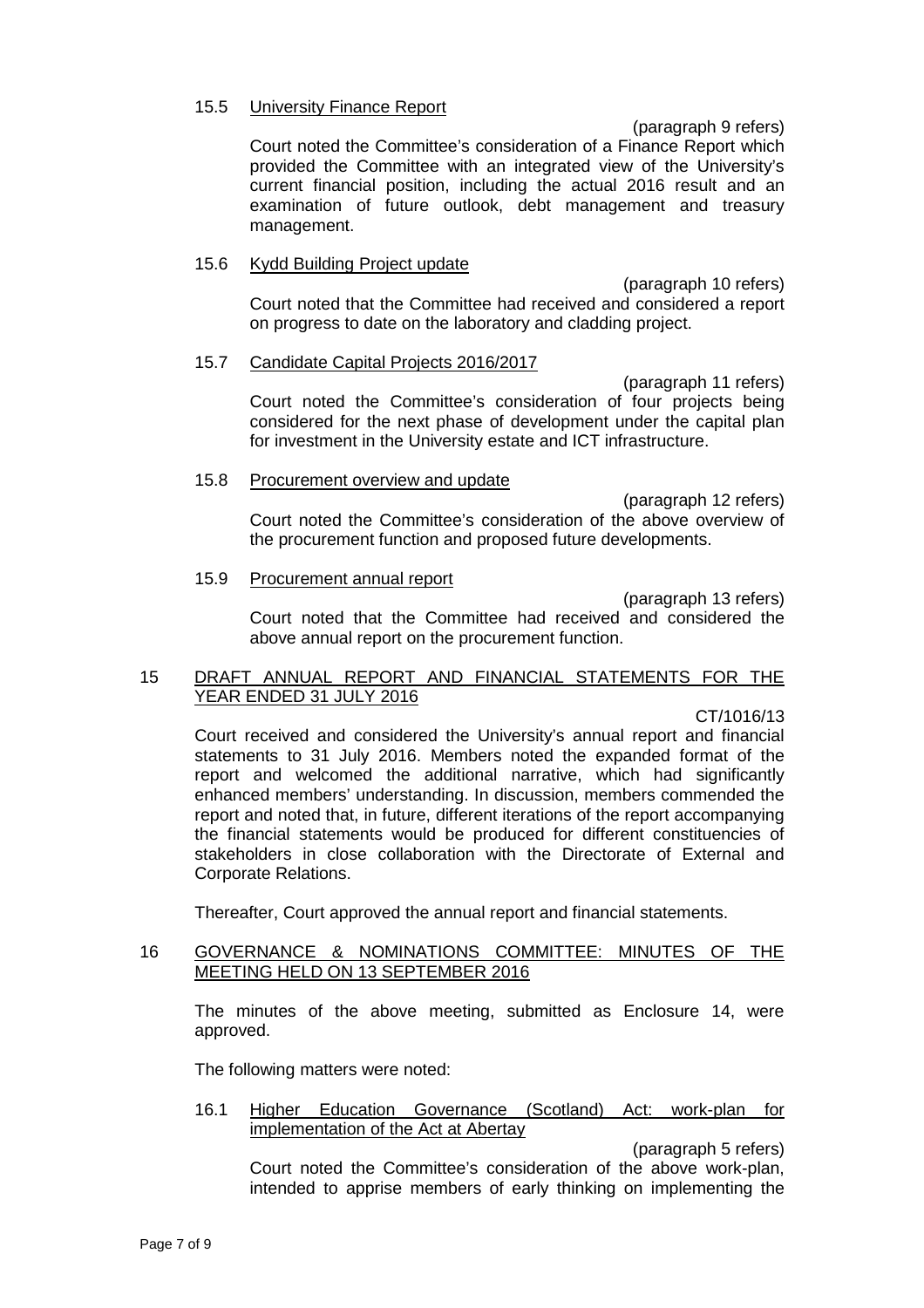### 15.5 University Finance Report

(paragraph 9 refers)

Court noted the Committee's consideration of a Finance Report which provided the Committee with an integrated view of the University's current financial position, including the actual 2016 result and an examination of future outlook, debt management and treasury management.

# 15.6 Kydd Building Project update

(paragraph 10 refers) Court noted that the Committee had received and considered a report on progress to date on the laboratory and cladding project.

# 15.7 Candidate Capital Projects 2016/2017

(paragraph 11 refers) Court noted the Committee's consideration of four projects being considered for the next phase of development under the capital plan for investment in the University estate and ICT infrastructure.

# 15.8 Procurement overview and update

(paragraph 12 refers) Court noted the Committee's consideration of the above overview of the procurement function and proposed future developments.

#### 15.9 Procurement annual report

(paragraph 13 refers) Court noted that the Committee had received and considered the

# 15 DRAFT ANNUAL REPORT AND FINANCIAL STATEMENTS FOR THE YEAR ENDED 31 JULY 2016

above annual report on the procurement function.

CT/1016/13

Court received and considered the University's annual report and financial statements to 31 July 2016. Members noted the expanded format of the report and welcomed the additional narrative, which had significantly enhanced members' understanding. In discussion, members commended the report and noted that, in future, different iterations of the report accompanying the financial statements would be produced for different constituencies of stakeholders in close collaboration with the Directorate of External and Corporate Relations.

Thereafter, Court approved the annual report and financial statements.

# 16 GOVERNANCE & NOMINATIONS COMMITTEE: MINUTES OF THE MEETING HELD ON 13 SEPTEMBER 2016

The minutes of the above meeting, submitted as Enclosure 14, were approved.

The following matters were noted:

16.1 Higher Education Governance (Scotland) Act: work-plan for implementation of the Act at Abertay

(paragraph 5 refers)

Court noted the Committee's consideration of the above work-plan, intended to apprise members of early thinking on implementing the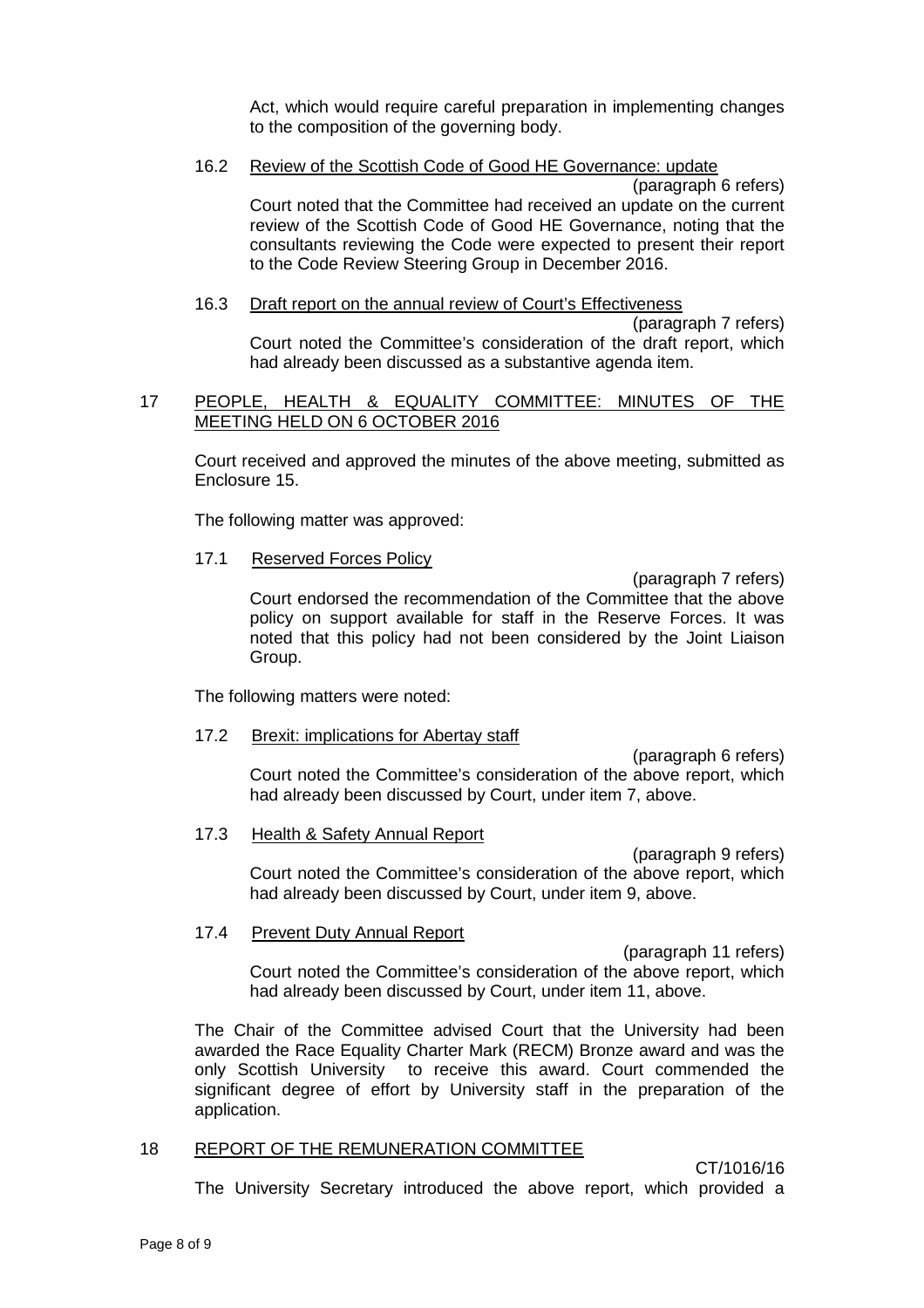Act, which would require careful preparation in implementing changes to the composition of the governing body.

# 16.2 Review of the Scottish Code of Good HE Governance: update

(paragraph 6 refers) Court noted that the Committee had received an update on the current review of the Scottish Code of Good HE Governance, noting that the consultants reviewing the Code were expected to present their report to the Code Review Steering Group in December 2016.

#### 16.3 Draft report on the annual review of Court's Effectiveness (paragraph 7 refers)

Court noted the Committee's consideration of the draft report, which had already been discussed as a substantive agenda item.

# 17 PEOPLE, HEALTH & EQUALITY COMMITTEE: MINUTES OF THE MEETING HELD ON 6 OCTOBER 2016

Court received and approved the minutes of the above meeting, submitted as Enclosure 15.

The following matter was approved:

# 17.1 Reserved Forces Policy

(paragraph 7 refers) Court endorsed the recommendation of the Committee that the above policy on support available for staff in the Reserve Forces. It was noted that this policy had not been considered by the Joint Liaison Group.

The following matters were noted:

# 17.2 Brexit: implications for Abertay staff

(paragraph 6 refers) Court noted the Committee's consideration of the above report, which had already been discussed by Court, under item 7, above.

#### 17.3 Health & Safety Annual Report

(paragraph 9 refers) Court noted the Committee's consideration of the above report, which had already been discussed by Court, under item 9, above.

# 17.4 Prevent Duty Annual Report

(paragraph 11 refers) Court noted the Committee's consideration of the above report, which had already been discussed by Court, under item 11, above.

The Chair of the Committee advised Court that the University had been awarded the Race Equality Charter Mark (RECM) Bronze award and was the only Scottish University to receive this award. Court commended the significant degree of effort by University staff in the preparation of the application.

# 18 REPORT OF THE REMUNERATION COMMITTEE

CT/1016/16

The University Secretary introduced the above report, which provided a